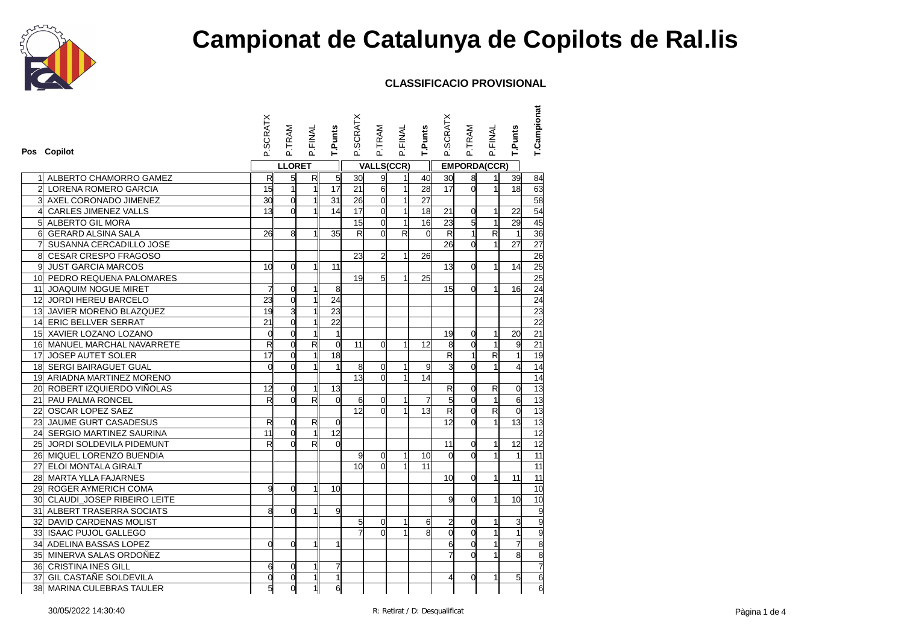

| Pos Copilot                                   | <b>SCRATX</b>           | P.TRAM          | P.FINAL                 | T.Punts         | P.SCRATX                | P.TRAM                  | P.FINAL      | T.Punts        | P.SCRATX                | P.TRAM              | P.FINAL        | T.Punts        | T.Campionat     |
|-----------------------------------------------|-------------------------|-----------------|-------------------------|-----------------|-------------------------|-------------------------|--------------|----------------|-------------------------|---------------------|----------------|----------------|-----------------|
|                                               |                         | <b>LLORET</b>   |                         |                 |                         | <b>VALLS(CCR)</b>       |              |                |                         | <b>EMPORDA(CCR)</b> |                |                |                 |
| 1 ALBERTO CHAMORRO GAMEZ                      | $\overline{\mathsf{R}}$ | $5\overline{)}$ | R                       | 5               | 30                      | 9                       | 1            | 40             | 30                      | 8                   | $\mathbf{1}$   | 39             | 84              |
| 2 LORENA ROMERO GARCIA                        | 15                      | $\mathbf{1}$    | $\mathbf{1}$            | 17              | 21                      | 6                       | 1            | 28             | 17                      | $\Omega$            | $\mathbf{1}$   | 18             | 63              |
| 3 AXEL CORONADO JIMENEZ                       | 30                      | $\overline{0}$  | $\mathbf{1}$            | 31              | 26                      | $\overline{0}$          | 1            | 27             |                         |                     |                |                | 58              |
| 41<br>CARLES JIMENEZ VALLS                    | 13                      | $\Omega$        | 1                       | 14              | 17                      | $\overline{0}$          | 1            | 18             | 21                      | 0                   | $\mathbf{1}$   | 22             | 54              |
| 5 ALBERTO GIL MORA                            |                         |                 |                         |                 | 15                      | $\mathbf 0$             | 1            | 16             | 23                      | 5                   | $\mathbf{1}$   | 29             | 45              |
| 6<br><b>GERARD ALSINA SALA</b>                | 26                      | 8               | $\mathbf 1$             | 35              | $\overline{\mathbf{z}}$ | $\Omega$                | R            | $\Omega$       | $\overline{\mathbf{z}}$ | $\mathbf{1}$        | $\mathsf{R}$   | $\overline{1}$ | 36              |
| SUSANNA CERCADILLO JOSE                       |                         |                 |                         |                 |                         |                         |              |                | 26                      | $\Omega$            | $\mathbf{1}$   | 27             | 27              |
| 8 <sup>1</sup><br><b>CESAR CRESPO FRAGOSO</b> |                         |                 |                         |                 | 23                      | $\overline{\mathbf{c}}$ | 1            | 26             |                         |                     |                |                | 26              |
| <b>JUST GARCIA MARCOS</b><br>9l               | 10 <sup>1</sup>         | $\Omega$        | 1                       | 11              |                         |                         |              |                | 13                      | $\overline{0}$      | $\mathbf{1}$   | 14             | 25              |
| 10 PEDRO REQUENA PALOMARES                    |                         |                 |                         |                 | 19                      | 5                       | 1            | 25             |                         |                     |                |                | 25              |
| 11 JOAQUIM NOGUE MIRET                        | 7                       | $\Omega$        | $\mathbf{1}$            | 8               |                         |                         |              |                | 15                      | $\Omega$            | 1              | 16             | 24              |
| 12 JORDI HEREU BARCELO                        | 23                      | $\overline{0}$  | $\mathbf{1}$            | $\overline{24}$ |                         |                         |              |                |                         |                     |                |                | 24              |
| 13 JAVIER MORENO BLAZQUEZ                     | $\overline{19}$         | 3               | $\mathbf{1}$            | 23              |                         |                         |              |                |                         |                     |                |                | 23              |
| 14 ERIC BELLVER SERRAT                        | 21                      | $\overline{0}$  | $\mathbf{1}$            | $\overline{22}$ |                         |                         |              |                |                         |                     |                |                | 22              |
| 15 XAVIER LOZANO LOZANO                       | $\overline{0}$          | $\Omega$        | $\mathbf{1}$            | $\mathbf{1}$    |                         |                         |              |                | 19                      | $\Omega$            | 1              | 20             | 21              |
| 16 MANUEL MARCHAL NAVARRETE                   | R                       | $\Omega$        | $\overline{\mathsf{R}}$ | $\overline{0}$  | 11                      | 0                       | 1            | 12             | 8                       | $\Omega$            | 1              | 9              | 21              |
| 17 JOSEP AUTET SOLER                          | $\overline{17}$         | $\overline{0}$  | $\mathbf{1}$            | $\overline{18}$ |                         |                         |              |                | R                       | $\mathbf{1}$        | R              | $\mathbf{1}$   | 19              |
| 18 SERGI BAIRAGUET GUAL                       | $\Omega$                | $\Omega$        | $\mathbf{1}$            | 1               | 8                       | $\overline{0}$          | 1            | 9              | 3                       | $\Omega$            | 1              | $\overline{4}$ | 14              |
| 19 ARIADNA MARTINEZ MORENO                    |                         |                 |                         |                 | 13                      | $\Omega$                | 1            | 14             |                         |                     |                |                | 14              |
| 20 ROBERT IZQUIERDO VIÑOLAS                   | 12                      | $\overline{0}$  | 1                       | 13              |                         |                         |              |                | $\overline{\mathbf{z}}$ | $\overline{0}$      | $\mathsf{R}$   | $\overline{0}$ | 13              |
| 21 PAU PALMA RONCEL                           | R                       | $\Omega$        | $\overline{\mathsf{R}}$ | $\overline{0}$  | 6                       | $\mathbf 0$             | 1            | $\overline{7}$ | $\overline{5}$          | $\overline{0}$      | $\mathbf{1}$   | 6              | $\overline{13}$ |
| 22 OSCAR LOPEZ SAEZ                           |                         |                 |                         |                 | 12 <sup>1</sup>         | $\Omega$                | $\mathbf{1}$ | 13             | R                       | $\Omega$            | $\mathsf{R}$   | $\overline{0}$ | 13              |
| JAUME GURT CASADESUS<br>23                    | R                       | $\overline{0}$  | R                       | $\overline{0}$  |                         |                         |              |                | 12                      | $\Omega$            | $\mathbf{1}$   | 13             | 13              |
| 24 SERGIO MARTINEZ SAURINA                    | 11                      | $\Omega$        | $\mathbf{1}$            | 12              |                         |                         |              |                |                         |                     |                |                | $\overline{12}$ |
| 25 JORDI SOLDEVILA PIDEMUNT                   | R                       | $\Omega$        | $\mathsf{R}$            | $\Omega$        |                         |                         |              |                | 11                      | 0                   | 1              | 12             | 12              |
| 26 MIQUEL LORENZO BUENDIA                     |                         |                 |                         |                 | 9                       | 0                       | 1            | 10             | d                       | $\Omega$            | 1              | $\mathbf{1}$   | 11              |
| 27 ELOI MONTALA GIRALT                        |                         |                 |                         |                 | 10 <sup>1</sup>         | $\Omega$                | 1            | 11             |                         |                     |                |                | $\overline{11}$ |
| 28 MARTA YLLA FAJARNES                        |                         |                 |                         |                 |                         |                         |              |                | 10 <sup>1</sup>         | $\Omega$            | 1              | 11             | 11              |
| 29 ROGER AYMERICH COMA                        | 9                       | $\Omega$        | $\mathbf 1$             | 10              |                         |                         |              |                |                         |                     |                |                | 10              |
| 30 CLAUDI_JOSEP RIBEIRO LEITE                 |                         |                 |                         |                 |                         |                         |              |                | g                       | $\Omega$            | 1              | 10             | 10              |
| 31 ALBERT TRASERRA SOCIATS                    | 8                       | $\Omega$        | $\mathbf{1}$            | 9               |                         |                         |              |                |                         |                     |                |                | 9               |
| 32 DAVID CARDENAS MOLIST                      |                         |                 |                         |                 | 5 <sup>1</sup>          | 0                       | 1            | 6              | 2                       | $\Omega$            | 1              | 3              |                 |
| 33 ISAAC PUJOL GALLEGO                        |                         |                 |                         |                 |                         | $\Omega$                | 1            | 8              | $\overline{\mathsf{0}}$ | $\overline{0}$      | $\overline{1}$ | 1              |                 |
| 34 ADELINA BASSAS LOPEZ                       | $\Omega$                | $\Omega$        | 1                       | 1               |                         |                         |              |                | $\mathbf{6}$            | $\Omega$            | $\overline{1}$ | $\overline{7}$ |                 |
| 35 MINERVA SALAS ORDOÑEZ                      |                         |                 |                         |                 |                         |                         |              |                |                         | $\Omega$            |                | 8              | 888             |
| 36 CRISTINA INES GILL                         | 6                       | $\Omega$        | 1                       | 7               |                         |                         |              |                |                         |                     |                |                | 7               |
| 37 GIL CASTAÑE SOLDEVILA                      | $\overline{0}$          | $\overline{O}$  | $\mathbf{1}$            | $\mathbf{1}$    |                         |                         |              |                | 4                       | $\Omega$            | 1              | 5              | 6               |
| 38 MARINA CULEBRAS TAULER                     | 5                       | $\mathbf 0$     | 1                       | 6               |                         |                         |              |                |                         |                     |                |                | $\overline{6}$  |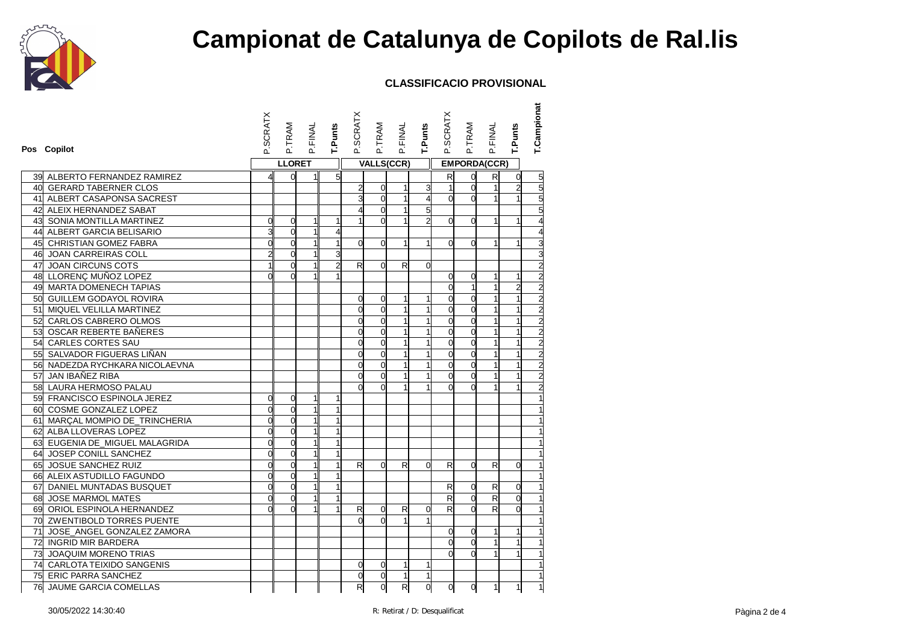

| Pos Copilot                       | P.SCRATX       | P.TRAM         | P.FINAL        | T.Punts        | P.SCRATX       | P.TRAM            | P.FINAL        | <b>T.Punts</b>          | P.SCRATX                | P.TRAM              | P.FINAL      | T.Punts        | T.Campionat    |
|-----------------------------------|----------------|----------------|----------------|----------------|----------------|-------------------|----------------|-------------------------|-------------------------|---------------------|--------------|----------------|----------------|
|                                   |                | <b>LLORET</b>  |                |                |                | <b>VALLS(CCR)</b> |                |                         |                         | <b>EMPORDA(CCR)</b> |              |                |                |
| 39 ALBERTO FERNANDEZ RAMIREZ      | 4              | $\overline{0}$ | 11             | 5 <sup>1</sup> |                |                   |                |                         | $\overline{\mathsf{R}}$ | $\overline{0}$      | R            | $\overline{0}$ | $\frac{5}{5}$  |
| 40 GERARD TABERNER CLOS           |                |                |                |                | $\overline{2}$ | 0                 | $\mathbf{1}$   | 3                       | $\mathbf{1}$            | $\Omega$            | $\mathbf{1}$ | $\overline{2}$ |                |
| 41 ALBERT CASAPONSA SACREST       |                |                |                |                | з              | $\overline{0}$    | $\mathbf{1}$   | $\overline{\mathbf{4}}$ | $\mathbf{0}$            | $\Omega$            |              |                |                |
| 42 ALEIX HERNANDEZ SABAT          |                |                |                |                |                | $\overline{0}$    | $\mathbf{1}$   | 5                       |                         |                     |              |                |                |
| <b>43 SONIA MONTILLA MARTINEZ</b> | 0              | $\overline{0}$ | 1              | 1              | 1              | $\Omega$          | 1              | $\overline{2}$          | $\mathbf{0}$            | $\Omega$            | 1            | 1              |                |
| 44 ALBERT GARCIA BELISARIO        | 3              | $\overline{0}$ | $\mathbf{1}$   | $\overline{4}$ |                |                   |                |                         |                         |                     |              |                |                |
| 45 CHRISTIAN GOMEZ FABRA          | $\overline{0}$ | $\overline{0}$ | $\mathbf{1}$   | $\mathbf{1}$   | $\Omega$       | 0                 | 1              | $\mathbf{1}$            | ď                       | $\Omega$            |              | $\overline{1}$ |                |
| 46 JOAN CARREIRAS COLL            | $\overline{2}$ | $\overline{0}$ | 1              | 3              |                |                   |                |                         |                         |                     |              |                |                |
| 47 JOAN CIRCUNS COTS              |                | $\overline{0}$ | $\mathbf{1}$   | $\overline{a}$ | R              | 0                 | R              | $\overline{0}$          |                         |                     |              |                | $\overline{c}$ |
| 48 LLORENÇ MUÑOZ LOPEZ            | $\Omega$       | $\Omega$       |                |                |                |                   |                |                         | O                       | $\Omega$            | 1            | 1              |                |
| 49 MARTA DOMENECH TAPIAS          |                |                |                |                |                |                   |                |                         | d                       |                     |              | $\overline{a}$ | $\overline{2}$ |
| 50 GUILLEM GODAYOL ROVIRA         |                |                |                |                | $\overline{0}$ | 0                 | 1              | 1                       | $\overline{0}$          | $\Omega$            |              | $\mathbf{1}$   | $\overline{2}$ |
| 51 MIQUEL VELILLA MARTINEZ        |                |                |                |                | $\Omega$       | $\overline{0}$    | 1              | 1                       | d                       | $\Omega$            | 1            | $\mathbf{1}$   |                |
| 52 CARLOS CABRERO OLMOS           |                |                |                |                | $\mathbf{0}$   | $\overline{0}$    | 1              | 1                       | $\mathsf{O}$            | $\Omega$            |              | $\mathbf{1}$   | $\overline{c}$ |
| 53 OSCAR REBERTE BAÑERES          |                |                |                |                | $\Omega$       | $\overline{0}$    | 1              | 1                       | $\mathsf{O}$            | $\Omega$            | $\mathbf{1}$ | $\mathbf{1}$   | $\overline{2}$ |
| 54 CARLES CORTES SAU              |                |                |                |                | $\Omega$       | 0                 | 1              | 1                       | d                       | $\Omega$            | 1            | $\mathbf{1}$   |                |
| 55 SALVADOR FIGUERAS LIÑAN        |                |                |                |                | O              | 0                 | 1              | 1                       | $\overline{0}$          | $\Omega$            | 1            | $\mathbf{1}$   | $\overline{2}$ |
| 56 NADEZDA RYCHKARA NICOLAEVNA    |                |                |                |                | $\overline{0}$ | 0                 | 1              | 1                       | O                       | $\Omega$            |              | $\mathbf{1}$   | $\frac{1}{2}$  |
| 57 JAN IBAÑEZ RIBA                |                |                |                |                | $\mathbf{0}$   | $\overline{0}$    | 1              | 1                       | $\overline{O}$          | $\Omega$            |              | $\mathbf{1}$   |                |
| 58 LAURA HERMOSO PALAU            |                |                |                |                | O              | $\Omega$          | 1              |                         | $\Omega$                | $\Omega$            |              |                |                |
| 59 FRANCISCO ESPINOLA JEREZ       | $\overline{0}$ | $\overline{0}$ | 1              | 1              |                |                   |                |                         |                         |                     |              |                |                |
| 60 COSME GONZALEZ LOPEZ           | o              | $\overline{0}$ | $\mathbf{1}$   |                |                |                   |                |                         |                         |                     |              |                |                |
| 61 MARÇAL MOMPIO DE_TRINCHERIA    | $\Omega$       | $\Omega$       | 1              |                |                |                   |                |                         |                         |                     |              |                |                |
| 62 ALBA LLOVERAS LOPEZ            | $\overline{0}$ | $\overline{0}$ | 1              | 1              |                |                   |                |                         |                         |                     |              |                |                |
| 63 EUGENIA DE MIGUEL MALAGRIDA    | $\overline{0}$ | $\overline{0}$ | $\overline{1}$ | $\mathbf{1}$   |                |                   |                |                         |                         |                     |              |                |                |
| 64 JOSEP CONILL SANCHEZ           | $\Omega$       | $\overline{0}$ | 1              | $\mathbf{1}$   |                |                   |                |                         |                         |                     |              |                |                |
| 65 JOSUE SANCHEZ RUIZ             | $\overline{0}$ | $\mathbf 0$    | $\mathbf{1}$   | $\mathbf{1}$   | R              | 0                 | R              | 0                       | R                       | $\Omega$            | R            | $\overline{0}$ |                |
| 66 ALEIX ASTUDILLO FAGUNDO        | $\overline{0}$ | $\overline{0}$ | 1              | 1              |                |                   |                |                         |                         |                     |              |                |                |
| 67 DANIEL MUNTADAS BUSQUET        | $\overline{0}$ | $\overline{0}$ | 1              | $\overline{1}$ |                |                   |                |                         | $\mathsf{R}$            | $\overline{0}$      | $\mathsf{R}$ | $\overline{0}$ |                |
| 68 JOSE MARMOL MATES              | $\Omega$       | $\overline{0}$ |                | $\overline{1}$ |                |                   |                |                         | R                       | $\Omega$            | R            | $\Omega$       |                |
| 69 ORIOL ESPINOLA HERNANDEZ       | $\Omega$       | $\Omega$       | 1              | $\mathbf{1}$   | R              | 0                 | R              | 0                       | R                       | $\Omega$            | R            | $\Omega$       |                |
| 70 ZWENTIBOLD TORRES PUENTE       |                |                |                |                | $\Omega$       | $\Omega$          | $\mathbf{1}$   | 1                       |                         |                     |              |                |                |
| 71 JOSE_ANGEL GONZALEZ ZAMORA     |                |                |                |                |                |                   |                |                         | $\alpha$                | $\Omega$            |              | 1              |                |
| 72 INGRID MIR BARDERA             |                |                |                |                |                |                   |                |                         | $\mathbf{0}$            | $\Omega$            | 1            | $\mathbf{1}$   |                |
| 73 JOAQUIM MORENO TRIAS           |                |                |                |                |                |                   |                |                         | $\Omega$                |                     |              |                |                |
| 74 CARLOTA TEIXIDO SANGENIS       |                |                |                |                | $\overline{0}$ | 0                 | 1              | 1                       |                         |                     |              |                |                |
| 75 ERIC PARRA SANCHEZ             |                |                |                |                | $\overline{0}$ | 0                 | $\overline{1}$ | $\mathbf{1}$            |                         |                     |              |                |                |
| 76 JAUME GARCIA COMELLAS          |                |                |                |                | R              | $\mathbf 0$       | R              | $\overline{0}$          | <sub>o</sub>            | 0                   | $\mathbf{1}$ | $\mathbf{1}$   |                |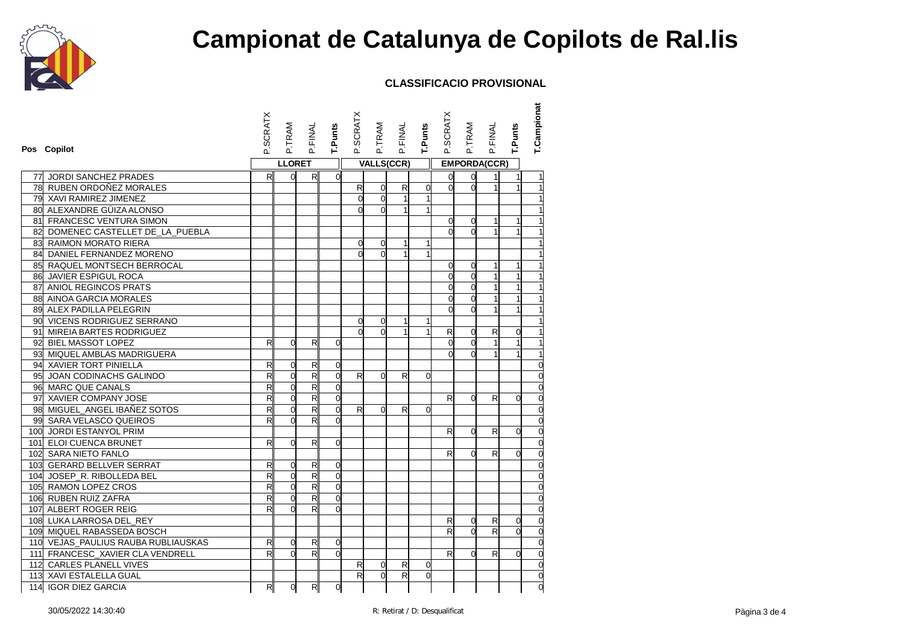

| Pos Copilot                         | P.SCRATX     | P.TRAM         | P.FINAL                 | T.Punts        | P.SCRATX     | P.TRAM         | P.FINAL           | T.Punts     | P.SCRATX     | P.TRAM              | P.FINAL      | T.Punts        | T.Campionat    |
|-------------------------------------|--------------|----------------|-------------------------|----------------|--------------|----------------|-------------------|-------------|--------------|---------------------|--------------|----------------|----------------|
|                                     |              | <b>LLORET</b>  |                         |                |              |                | <b>VALLS(CCR)</b> |             |              | <b>EMPORDA(CCR)</b> |              |                |                |
| 77 JORDI SANCHEZ PRADES             | R            | $\overline{0}$ | $R_{\parallel}$         | $\Omega$       |              |                |                   |             | $\mathsf{o}$ | 0                   |              | 1              |                |
| 78 RUBEN ORDOÑEZ MORALES            |              |                |                         |                | R            | $\overline{0}$ | R                 | 0           | $\mathbf{0}$ | $\Omega$            | $\mathbf{1}$ | 1              |                |
| 79 XAVI RAMIREZ JIMENEZ             |              |                |                         |                | 0            | $\mathbf 0$    | $\mathbf{1}$      | 1           |              |                     |              |                |                |
| 80 ALEXANDRE GÜIZA ALONSO           |              |                |                         |                | $\Omega$     | $\Omega$       | $\mathbf{1}$      | 1           |              |                     |              |                |                |
| 81 FRANCESC VENTURA SIMON           |              |                |                         |                |              |                |                   |             | 0            | $\Omega$            | 1            | 1              |                |
| 82 DOMENEC CASTELLET DE_LA_PUEBLA   |              |                |                         |                |              |                |                   |             | $\Omega$     | $\Omega$            | $\mathbf{1}$ | $\mathbf{1}$   |                |
| 83 RAIMON MORATO RIERA              |              |                |                         |                | 0            | $\Omega$       | $\mathbf{1}$      | 1           |              |                     |              |                |                |
| 84 DANIEL FERNANDEZ MORENO          |              |                |                         |                | $\Omega$     | $\Omega$       |                   |             |              |                     |              |                |                |
| 85 RAQUEL MONTSECH BERROCAL         |              |                |                         |                |              |                |                   |             | 0            | $\Omega$            | 1            | 1              |                |
| 86 JAVIER ESPIGUL ROCA              |              |                |                         |                |              |                |                   |             | $\Omega$     | $\Omega$            | $\mathbf 1$  | 1              |                |
| 87 ANIOL REGINCOS PRATS             |              |                |                         |                |              |                |                   |             | $\mathsf{d}$ | $\overline{0}$      | $\mathbf{1}$ | $\mathbf{1}$   |                |
| 88 AINOA GARCIA MORALES             |              |                |                         |                |              |                |                   |             | $\mathbf{0}$ | $\overline{0}$      |              | 1              |                |
| 89 ALEX PADILLA PELEGRIN            |              |                |                         |                |              |                |                   |             | $\Omega$     | $\Omega$            |              |                |                |
| 90 VICENS RODRIGUEZ SERRANO         |              |                |                         |                | 0            | $\overline{0}$ | $\mathbf{1}$      | 1           |              |                     |              |                |                |
| 91 MIREIA BARTES RODRIGUEZ          |              |                |                         |                | $\Omega$     | $\Omega$       | $\mathbf{1}$      |             | $\mathsf{R}$ | 0                   | R            | $\overline{0}$ |                |
| 92 BIEL MASSOT LOPEZ                | R            | $\Omega$       | $\mathsf{R}$            | $\Omega$       |              |                |                   |             | $\Omega$     | $\overline{0}$      |              | 1              |                |
| 93 MIQUEL AMBLAS MADRIGUERA         |              |                |                         |                |              |                |                   |             | $\Omega$     | $\overline{0}$      | 1            | $\mathbf{1}$   |                |
| 94 XAVIER TORT PINIELLA             | R            | $\mathbf 0$    | $\mathsf{R}$            | $\mathbf 0$    |              |                |                   |             |              |                     |              |                | $\overline{0}$ |
| 95 JOAN CODINACHS GALINDO           | $\mathsf{R}$ | $\overline{0}$ | $\overline{\mathsf{R}}$ | $\Omega$       | $\mathsf{R}$ | $\Omega$       | R                 | $\Omega$    |              |                     |              |                |                |
| 96 MARC QUE CANALS                  | $\mathsf{R}$ | $\mathbf 0$    | $\mathsf{R}$            | $\mathbf 0$    |              |                |                   |             |              |                     |              |                |                |
| 97 XAVIER COMPANY JOSE              | R            | $\overline{0}$ | $\overline{\mathsf{R}}$ | $\Omega$       |              |                |                   |             | R            | $\Omega$            | R            | $\Omega$       | $\Omega$       |
| 98 MIGUEL_ANGEL IBAÑEZ SOTOS        | $\mathsf{R}$ | $\overline{0}$ | $\mathsf{R}$            | $\overline{0}$ | $\mathsf{R}$ | $\Omega$       | R                 | $\Omega$    |              |                     |              |                | 0              |
| 99 SARA VELASCO QUEIROS             | R            | $\overline{0}$ | R                       | $\Omega$       |              |                |                   |             |              |                     |              |                |                |
| 100 JORDI ESTANYOL PRIM             |              |                |                         |                |              |                |                   |             | R            | $\overline{0}$      | R            | $\Omega$       |                |
| 101 ELOI CUENCA BRUNET              | $\mathsf{R}$ | $\overline{0}$ | $\mathsf{R}$            | 0              |              |                |                   |             |              |                     |              |                | $\overline{0}$ |
| 102 SARA NIETO FANLO                |              |                |                         |                |              |                |                   |             | R            | $\Omega$            | $\mathsf{R}$ | $\Omega$       |                |
| 103 GERARD BELLVER SERRAT           | R            | 0              | R                       | $\Omega$       |              |                |                   |             |              |                     |              |                |                |
| 104 JOSEP_R. RIBOLLEDA BEL          | R            | $\overline{0}$ | $\overline{\mathsf{R}}$ | $\Omega$       |              |                |                   |             |              |                     |              |                | $\Omega$       |
| 105 RAMON LOPEZ CROS                | R            | $\overline{0}$ | R                       | $\Omega$       |              |                |                   |             |              |                     |              |                |                |
| 106 RUBEN RUIZ ZAFRA                | R            | $\mathbf 0$    | $\mathsf{R}$            | $\mathbf 0$    |              |                |                   |             |              |                     |              |                |                |
| 107 ALBERT ROGER REIG               | R            | $\Omega$       | R                       | $\Omega$       |              |                |                   |             |              |                     |              |                | $\overline{O}$ |
| 108 LUKA LARROSA DEL_REY            |              |                |                         |                |              |                |                   |             | R            | 0                   | R            | $\overline{0}$ |                |
| 109 MIQUEL RABASSEDA BOSCH          |              |                |                         |                |              |                |                   |             | R            | $\Omega$            | R            | $\overline{0}$ |                |
| 110 VEJAS_PAULIUS RAUBA RUBLIAUSKAS | R            | $\overline{0}$ | $\mathsf{R}$            | $\mathbf 0$    |              |                |                   |             |              |                     |              |                | $\Omega$       |
| 111 FRANCESC_XAVIER CLA VENDRELL    | R            | $\Omega$       | R                       | $\Omega$       |              |                |                   |             | $\mathsf{R}$ | $\overline{0}$      | $\mathsf{R}$ | $\Omega$       |                |
| 112 CARLES PLANELL VIVES            |              |                |                         |                | R            | $\overline{0}$ | R                 | 0           |              |                     |              |                |                |
| 113 XAVI ESTALELLA GUAL             |              |                |                         |                | $\mathsf{R}$ | $\mathbf 0$    | R                 | $\mathbf 0$ |              |                     |              |                | $\overline{0}$ |
| 114 IGOR DIEZ GARCIA                | R            | $\overline{0}$ | R                       | $\mathbf 0$    |              |                |                   |             |              |                     |              |                | d              |